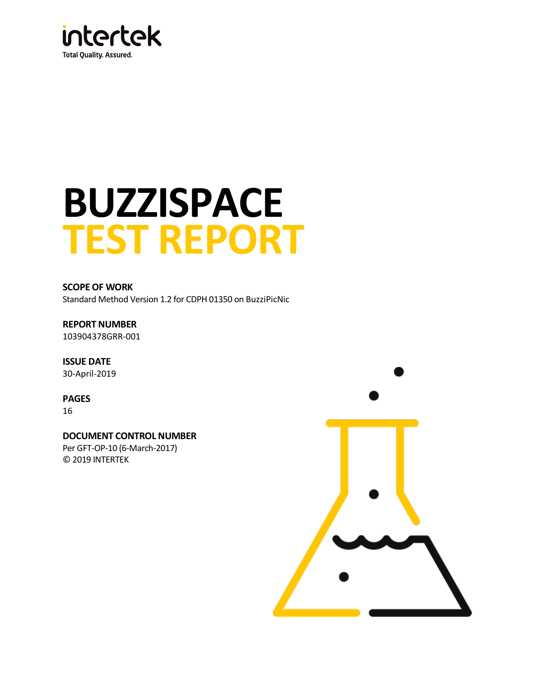

# **BUZZISPACE TEST REPORT**

**SCOPE OF WORK** Standard Method Version 1.2 for CDPH 01350 o[n BuzziPicNic](#page-2-0)

**REPORT NUMBER** [103904378GRR-001](#page-2-1)

**ISSUE DATE**  [30-April-2019](#page-2-2)

**PAGES** 16

**DOCUMENT CONTROL NUMBER** Per GFT-OP-10 (6-March-2017) © 2019 INTERTEK

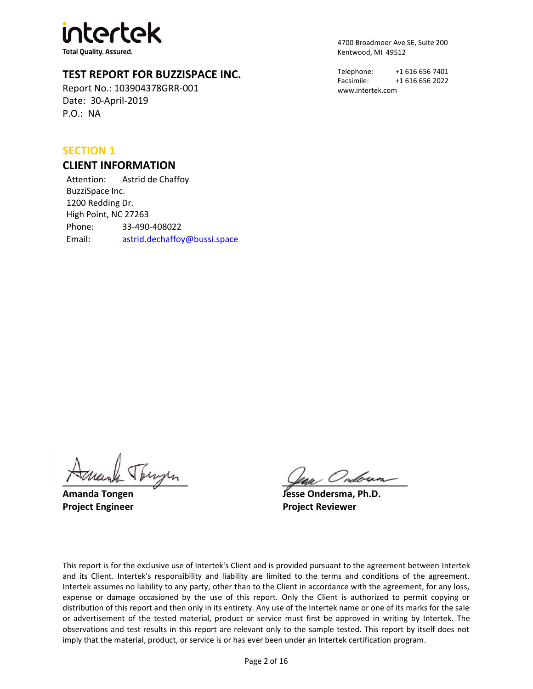# **htertek**

**Total Quality. Assured.** 

# **TEST REPORT FOR BUZZISPACE INC.**

Report No.: [103904378GRR-001](#page-2-1) Date: [30-April-2019](#page-2-2) P.O.: [NA](#page-2-3)

## **SECTION 1**

#### **CLIENT INFORMATION**

Attention: Astrid de Chaffoy BuzziSpace Inc. 1200 Redding Dr. High Point, NC 27263 Phone: 33-490-408022 Email: astrid.dechaffoy@bussi.space 4700 Broadmoor Ave SE, Suite 200 Kentwood, MI 49512

Telephone: +1 616 656 7401 Facsimile: +1 616 656 2022 www.intertek.com

Tengen

**Amanda Tongen Jesse Ondersma, Ph.D. Project Engineer Project Reviewer**

This report is for the exclusive use of Intertek's Client and is provided pursuant to the agreement between Intertek and its Client. Intertek's responsibility and liability are limited to the terms and conditions of the agreement. Intertek assumes no liability to any party, other than to the Client in accordance with the agreement, for any loss, expense or damage occasioned by the use of this report. Only the Client is authorized to permit copying or distribution of this report and then only in its entirety. Any use of the Intertek name or one of its marks for the sale or advertisement of the tested material, product or service must first be approved in writing by Intertek. The observations and test results in this report are relevant only to the sample tested. This report by itself does not imply that the material, product, or service is or has ever been under an Intertek certification program.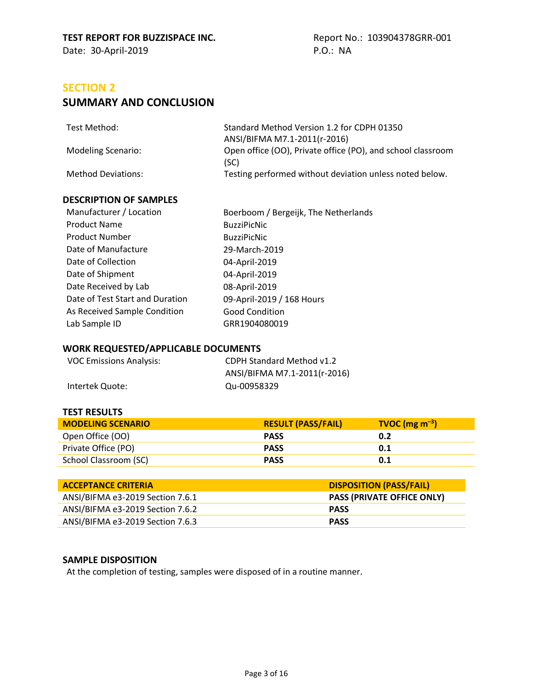# <span id="page-2-3"></span><span id="page-2-2"></span><span id="page-2-1"></span>**SECTION 2**

# **SUMMARY AND CONCLUSION**

| Test Method:       | Standard Method Version 1.2 for CDPH 01350                          |
|--------------------|---------------------------------------------------------------------|
|                    | ANSI/BIFMA M7.1-2011(r-2016)                                        |
| Modeling Scenario: | Open office (OO), Private office (PO), and school classroom<br>(SC) |
| Method Deviations: | Testing performed without deviation unless noted below.             |

#### **DESCRIPTION OF SAMPLES**

<span id="page-2-0"></span>

| Manufacturer / Location         | Boerboom / Bergeijk, The Netherlands |
|---------------------------------|--------------------------------------|
| <b>Product Name</b>             | <b>BuzziPicNic</b>                   |
| <b>Product Number</b>           | <b>BuzziPicNic</b>                   |
| Date of Manufacture             | 29-March-2019                        |
| Date of Collection              | 04-April-2019                        |
| Date of Shipment                | 04-April-2019                        |
| Date Received by Lab            | 08-April-2019                        |
| Date of Test Start and Duration | 09-April-2019 / 168 Hours            |
| As Received Sample Condition    | <b>Good Condition</b>                |
| Lab Sample ID                   | GRR1904080019                        |
|                                 |                                      |

#### <span id="page-2-4"></span>**WORK REQUESTED/APPLICABLE DOCUMENTS**

| <b>VOC Emissions Analysis:</b> | CDPH Standard Method v1.2    |
|--------------------------------|------------------------------|
|                                | ANSI/BIFMA M7.1-2011(r-2016) |
| Intertek Quote:                | Qu-00958329                  |

#### **TEST RESULTS**

| <b>MODELING SCENARIO</b> | <b>RESULT (PASS/FAIL)</b> | $TVOC (mg m-3)$ |
|--------------------------|---------------------------|-----------------|
| Open Office (OO)         | <b>PASS</b>               | 0.2             |
| Private Office (PO)      | <b>PASS</b>               | 0.1             |
| School Classroom (SC)    | <b>PASS</b>               | 0.1             |

| <b>ACCEPTANCE CRITERIA</b>       | <b>DISPOSITION (PASS/FAIL)</b>    |
|----------------------------------|-----------------------------------|
| ANSI/BIFMA e3-2019 Section 7.6.1 | <b>PASS (PRIVATE OFFICE ONLY)</b> |
| ANSI/BIFMA e3-2019 Section 7.6.2 | <b>PASS</b>                       |
| ANSI/BIFMA e3-2019 Section 7.6.3 | <b>PASS</b>                       |

#### **SAMPLE DISPOSITION**

At the completion of testing, samples were disposed of in a routine manner.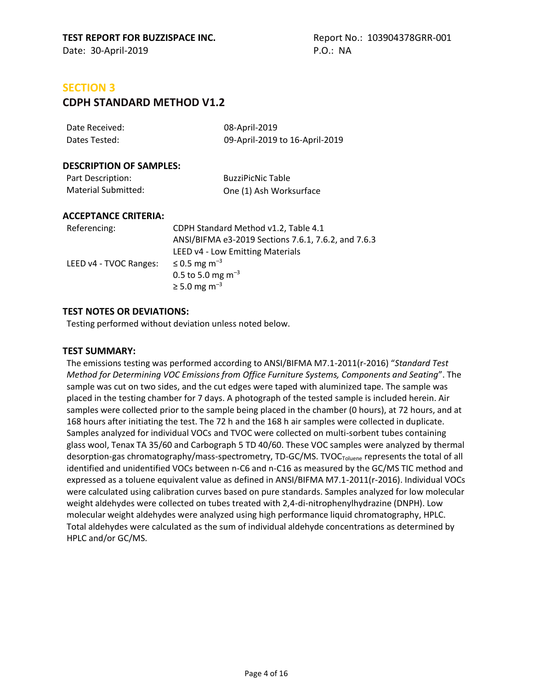# **SECTION 3**

# **CDPH STANDARD METHOD V1.2**

| Date Received: | 08-April-2019                  |
|----------------|--------------------------------|
| Dates Tested:  | 09-April-2019 to 16-April-2019 |

#### **DESCRIPTION OF SAMPLES:**

| Part Description:   | <b>BuzziPicNic Table</b> |
|---------------------|--------------------------|
| Material Submitted: | One (1) Ash Worksurface  |

#### **ACCEPTANCE CRITERIA:**

| Referencing:           | CDPH Standard Method v1.2, Table 4.1                |
|------------------------|-----------------------------------------------------|
|                        | ANSI/BIFMA e3-2019 Sections 7.6.1, 7.6.2, and 7.6.3 |
|                        | LEED v4 - Low Emitting Materials                    |
| LEED v4 - TVOC Ranges: | ≤ 0.5 mg m <sup>-3</sup>                            |
|                        | 0.5 to 5.0 mg $\rm m^{-3}$                          |
|                        | $\ge$ 5.0 mg m <sup>-3</sup>                        |

#### **TEST NOTES OR DEVIATIONS:**

Testing performed without deviation unless noted below.

#### **TEST SUMMARY:**

The emissions testing was performed according to ANSI/BIFMA M7.1-2011(r-2016) "*Standard Test Method for Determining VOC Emissions from Office Furniture Systems, Components and Seating*". The sample was cut on two sides, and the cut edges were taped with aluminized tape. The sample was placed in the testing chamber for 7 days. A photograph of the tested sample is included herein. Air samples were collected prior to the sample being placed in the chamber (0 hours), at 72 hours, and at 168 hours after initiating the test. The 72 h and the 168 h air samples were collected in duplicate. Samples analyzed for individual VOCs and TVOC were collected on multi-sorbent tubes containing glass wool, Tenax TA 35/60 and Carbograph 5 TD 40/60. These VOC samples were analyzed by thermal desorption-gas chromatography/mass-spectrometry, TD-GC/MS. TVOC<sub>Toluene</sub> represents the total of all identified and unidentified VOCs between n-C6 and n-C16 as measured by the GC/MS TIC method and expressed as a toluene equivalent value as defined in ANSI/BIFMA M7.1-2011(r-2016). Individual VOCs were calculated using calibration curves based on pure standards. Samples analyzed for low molecular weight aldehydes were collected on tubes treated with 2,4-di-nitrophenylhydrazine (DNPH). Low molecular weight aldehydes were analyzed using high performance liquid chromatography, HPLC. Total aldehydes were calculated as the sum of individual aldehyde concentrations as determined by HPLC and/or GC/MS.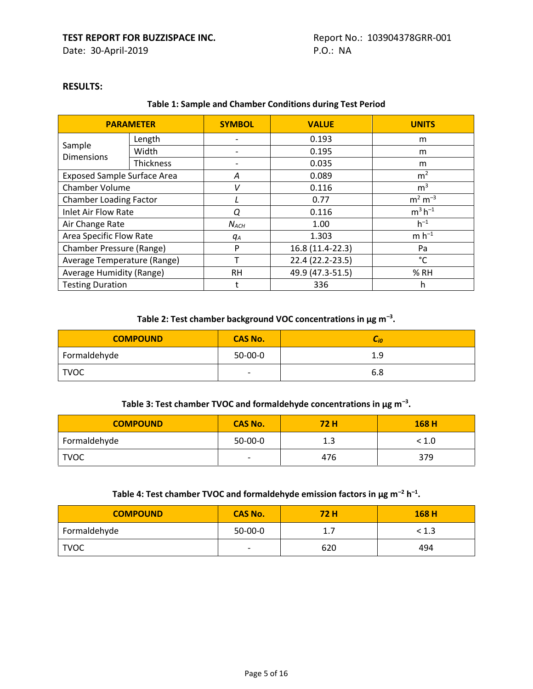#### **RESULTS:**

#### **Table 1: Sample and Chamber Conditions during Test Period**

|                                    | <b>PARAMETER</b> | <b>SYMBOL</b> | <b>VALUE</b>     | <b>UNITS</b>   |
|------------------------------------|------------------|---------------|------------------|----------------|
|                                    | Length           |               | 0.193            | m              |
| Sample<br><b>Dimensions</b>        | Width            |               | 0.195            | m              |
|                                    | <b>Thickness</b> |               | 0.035            | m              |
| <b>Exposed Sample Surface Area</b> |                  | Α             | 0.089            | m <sup>2</sup> |
| Chamber Volume                     |                  | V             | 0.116            | m <sup>3</sup> |
| <b>Chamber Loading Factor</b>      |                  |               | 0.77             | $m^2 m^{-3}$   |
| <b>Inlet Air Flow Rate</b>         |                  | Q             | 0.116            | $m^3 h^{-1}$   |
| Air Change Rate                    |                  | $N_{ACH}$     | 1.00             | $h^{-1}$       |
| <b>Area Specific Flow Rate</b>     |                  | qА            | 1.303            | $m h^{-1}$     |
| Chamber Pressure (Range)           |                  | P             | 16.8 (11.4-22.3) | Pa             |
| Average Temperature (Range)        |                  |               | 22.4 (22.2-23.5) | °C             |
| Average Humidity (Range)           |                  | <b>RH</b>     | 49.9 (47.3-51.5) | % RH           |
| <b>Testing Duration</b>            |                  |               | 336              | h              |

#### **Table 2: Test chamber background VOC concentrations in µg m–<sup>3</sup> .**

| <b>COMPOUND</b> | <b>CAS No.</b>           | L <sub>i0</sub> |
|-----------------|--------------------------|-----------------|
| Formaldehyde    | 50-00-0                  | 1.9             |
| <b>TVOC</b>     | $\overline{\phantom{a}}$ | 6.8             |

#### **Table 3: Test chamber TVOC and formaldehyde concentrations in µg m–<sup>3</sup> .**

| <b>COMPOUND</b> | <b>CAS No.</b> | <b>72H</b> | 168H  |
|-----------------|----------------|------------|-------|
| Formaldehyde    | $50-00-0$      | 1.3        | < 1.0 |
| <b>TVOC</b>     | -              | 476        | 379   |

#### **Table 4: Test chamber TVOC and formaldehyde emission factors in µg m–<sup>2</sup> h –1 .**

| <b>COMPOUND</b> | <b>CAS No.</b>           | 72 H | 168 H |
|-----------------|--------------------------|------|-------|
| Formaldehyde    | $50-00-0$                | 1.7  | < 1.3 |
| <b>TVOC</b>     | $\overline{\phantom{a}}$ | 620  | 494   |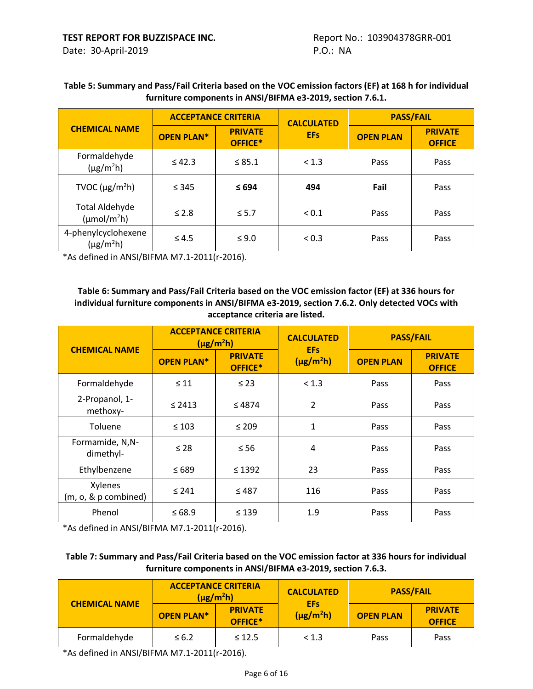#### **Table 5: Summary and Pass/Fail Criteria based on the VOC emission factors (EF) at 168 h for individual furniture components in ANSI/BIFMA e3-2019, section 7.6.1.**

|                                                   | <b>ACCEPTANCE CRITERIA</b> |                           | <b>CALCULATED</b> | <b>PASS/FAIL</b> |                                 |  |
|---------------------------------------------------|----------------------------|---------------------------|-------------------|------------------|---------------------------------|--|
| <b>CHEMICAL NAME</b>                              | <b>OPEN PLAN*</b>          | <b>PRIVATE</b><br>OFFICE* | <b>EFs</b>        | <b>OPEN PLAN</b> | <b>PRIVATE</b><br><b>OFFICE</b> |  |
| Formaldehyde<br>$(\mu g/m^2 h)$                   | $\leq 42.3$                | $\leq 85.1$               | < 1.3             | Pass             | Pass                            |  |
| TVOC ( $\mu$ g/m <sup>2</sup> h)                  | $\leq 345$                 | $\leq 694$                | 494               | Fail             | Pass                            |  |
| <b>Total Aldehyde</b><br>$(\mu \text{mol/m}^2 h)$ | $\leq$ 2.8                 | $\leq 5.7$                | ${}_{0.1}$        | Pass             | Pass                            |  |
| 4-phenylcyclohexene<br>$(\mu g/m^2 h)$            | $\leq 4.5$                 | $\leq 9.0$                | < 0.3             | Pass             | Pass                            |  |

\*As defined in ANSI/BIFMA M7.1-2011(r-2016).

#### **Table 6: Summary and Pass/Fail Criteria based on the VOC emission factor (EF) at 336 hours for individual furniture components in ANSI/BIFMA e3-2019, section 7.6.2. Only detected VOCs with acceptance criteria are listed.**

|                                 | <b>ACCEPTANCE CRITERIA</b> | $(\mu g/m^2 h)$           | <b>CALCULATED</b>             | <b>PASS/FAIL</b> |                                 |
|---------------------------------|----------------------------|---------------------------|-------------------------------|------------------|---------------------------------|
| <b>CHEMICAL NAME</b>            | <b>OPEN PLAN*</b>          | <b>PRIVATE</b><br>OFFICE* | <b>EFs</b><br>$(\mu g/m^2 h)$ | <b>OPEN PLAN</b> | <b>PRIVATE</b><br><b>OFFICE</b> |
| Formaldehyde                    | $\leq 11$                  | $\leq$ 23                 | < 1.3                         | Pass             | Pass                            |
| 2-Propanol, 1-<br>methoxy-      | $\leq$ 2413                | $\leq 4874$               | $\overline{2}$                | Pass             | Pass                            |
| Toluene                         | $\leq 103$                 | $\leq 209$                | $\mathbf{1}$                  | Pass             | Pass                            |
| Formamide, N,N-<br>dimethyl-    | $\leq 28$                  | $\leq 56$                 | 4                             | Pass             | Pass                            |
| Ethylbenzene                    | $\leq 689$                 | $\leq$ 1392               | 23                            | Pass             | Pass                            |
| Xylenes<br>(m, o, & p combined) | $\leq 241$                 | $\leq 487$                | 116                           | Pass             | Pass                            |
| Phenol                          | $\leq 68.9$                | $\leq 139$                | 1.9                           | Pass             | Pass                            |

\*As defined in ANSI/BIFMA M7.1-2011(r-2016).

#### **Table 7: Summary and Pass/Fail Criteria based on the VOC emission factor at 336 hours for individual furniture components in ANSI/BIFMA e3-2019, section 7.6.3.**

| <b>CHEMICAL NAME</b> | <b>ACCEPTANCE CRITERIA</b><br>$(\mu$ g/m <sup>2</sup> h) |                           | <b>CALCULATED</b><br><b>EFs</b> | <b>PASS/FAIL</b> |                                 |
|----------------------|----------------------------------------------------------|---------------------------|---------------------------------|------------------|---------------------------------|
|                      | <b>OPEN PLAN*</b>                                        | <b>PRIVATE</b><br>OFFICE* | $(\mu g/m^2 h)$                 | <b>OPEN PLAN</b> | <b>PRIVATE</b><br><b>OFFICE</b> |
| Formaldehyde         | $\leq 6.2$                                               | $\leq 12.5$               | < 1.3                           | Pass             | <b>Pass</b>                     |

\*As defined in ANSI/BIFMA M7.1-2011(r-2016).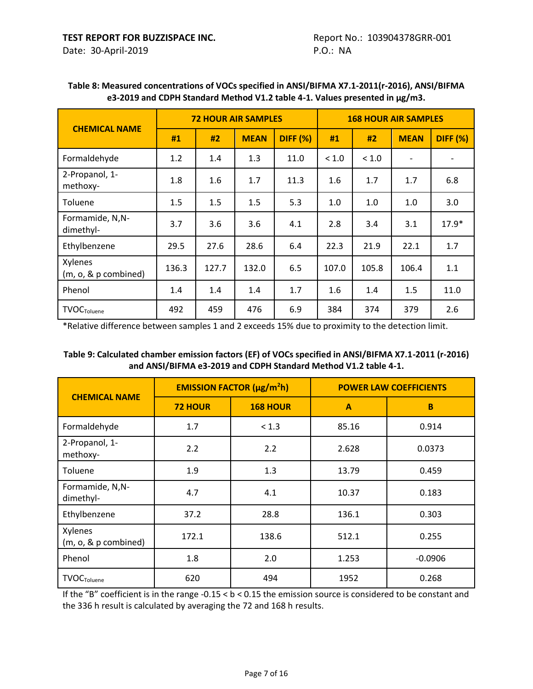| <b>CHEMICAL NAME</b>               | <b>72 HOUR AIR SAMPLES</b> |       |             |                 | <b>168 HOUR AIR SAMPLES</b> |       |                          |                 |
|------------------------------------|----------------------------|-------|-------------|-----------------|-----------------------------|-------|--------------------------|-----------------|
|                                    | #1                         | #2    | <b>MEAN</b> | <b>DIFF (%)</b> | #1                          | #2    | <b>MEAN</b>              | <b>DIFF (%)</b> |
| Formaldehyde                       | 1.2                        | 1.4   | 1.3         | 11.0            | < 1.0                       | < 1.0 | $\overline{\phantom{a}}$ |                 |
| 2-Propanol, 1-<br>methoxy-         | 1.8                        | 1.6   | 1.7         | 11.3            | 1.6                         | 1.7   | 1.7                      | 6.8             |
| Toluene                            | 1.5                        | 1.5   | 1.5         | 5.3             | 1.0                         | 1.0   | 1.0                      | 3.0             |
| Formamide, N,N-<br>dimethyl-       | 3.7                        | 3.6   | 3.6         | 4.1             | 2.8                         | 3.4   | 3.1                      | $17.9*$         |
| Ethylbenzene                       | 29.5                       | 27.6  | 28.6        | 6.4             | 22.3                        | 21.9  | 22.1                     | 1.7             |
| Xylenes<br>$(m, o, \& p$ combined) | 136.3                      | 127.7 | 132.0       | 6.5             | 107.0                       | 105.8 | 106.4                    | 1.1             |
| Phenol                             | 1.4                        | 1.4   | 1.4         | 1.7             | 1.6                         | 1.4   | 1.5                      | 11.0            |
| <b>TVOC</b> Toluene                | 492                        | 459   | 476         | 6.9             | 384                         | 374   | 379                      | 2.6             |

#### **Table 8: Measured concentrations of VOCs specified in ANSI/BIFMA X7.1-2011(r-2016), ANSI/BIFMA e3-2019 and CDPH Standard Method V1.2 table 4-1. Values presented in µg/m3.**

\*Relative difference between samples 1 and 2 exceeds 15% due to proximity to the detection limit.

| Table 9: Calculated chamber emission factors (EF) of VOCs specified in ANSI/BIFMA X7.1-2011 (r-2016) |
|------------------------------------------------------------------------------------------------------|
| and ANSI/BIFMA e3-2019 and CDPH Standard Method V1.2 table 4-1.                                      |

| <b>CHEMICAL NAME</b>                       |                | <b>EMISSION FACTOR (µg/m<sup>2</sup>h)</b> | <b>POWER LAW COEFFICIENTS</b> |           |  |
|--------------------------------------------|----------------|--------------------------------------------|-------------------------------|-----------|--|
|                                            | <b>72 HOUR</b> | <b>168 HOUR</b>                            | A                             | B         |  |
| Formaldehyde                               | 1.7            | < 1.3                                      | 85.16                         | 0.914     |  |
| 2-Propanol, 1-<br>methoxy-                 | 2.2            | 2.2                                        | 2.628                         | 0.0373    |  |
| Toluene                                    | 1.9            | 1.3                                        | 13.79                         | 0.459     |  |
| Formamide, N,N-<br>dimethyl-               | 4.7            | 4.1                                        | 10.37                         | 0.183     |  |
| Ethylbenzene                               | 37.2           | 28.8                                       | 136.1                         | 0.303     |  |
| Xylenes<br>$(m, o, \& p \text{ combined})$ | 172.1          | 138.6                                      | 512.1                         | 0.255     |  |
| Phenol                                     | 1.8            | 2.0                                        | 1.253                         | $-0.0906$ |  |
| <b>TVOC</b> Toluene                        | 620            | 494                                        | 1952                          | 0.268     |  |

If the "B" coefficient is in the range  $-0.15 < b < 0.15$  the emission source is considered to be constant and the 336 h result is calculated by averaging the 72 and 168 h results.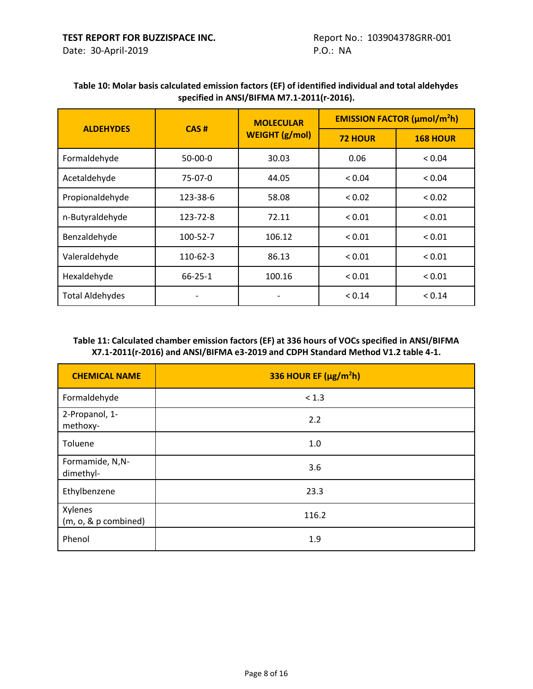#### **Table 10: Molar basis calculated emission factors (EF) of identified individual and total aldehydes specified in ANSI/BIFMA M7.1-2011(r-2016).**

| <b>ALDEHYDES</b>       | CAS#           | <b>MOLECULAR</b>      | <b>EMISSION FACTOR (µmol/m<sup>2</sup>h)</b> |                 |  |
|------------------------|----------------|-----------------------|----------------------------------------------|-----------------|--|
|                        |                | <b>WEIGHT (g/mol)</b> | <b>72 HOUR</b>                               | <b>168 HOUR</b> |  |
| Formaldehyde           | $50-00-0$      | 30.03                 | 0.06                                         | < 0.04          |  |
| Acetaldehyde           | 75-07-0        | 44.05                 | < 0.04                                       | < 0.04          |  |
| Propionaldehyde        | 123-38-6       | 58.08                 | < 0.02                                       | < 0.02          |  |
| n-Butyraldehyde        | 123-72-8       | 72.11                 | < 0.01                                       | ${}_{0.01}$     |  |
| Benzaldehyde           | 100-52-7       | 106.12                | < 0.01                                       | ${}_{0.01}$     |  |
| Valeraldehyde          | $110 - 62 - 3$ | 86.13                 | ${}_{0.01}$                                  | < 0.01          |  |
| Hexaldehyde            | $66 - 25 - 1$  | 100.16                | ${}_{0.01}$                                  | ${}_{0.01}$     |  |
| <b>Total Aldehydes</b> |                |                       | < 0.14                                       | < 0.14          |  |

#### **Table 11: Calculated chamber emission factors (EF) at 336 hours of VOCs specified in ANSI/BIFMA X7.1-2011(r-2016) and ANSI/BIFMA e3-2019 and CDPH Standard Method V1.2 table 4-1.**

| <b>CHEMICAL NAME</b>            | 336 HOUR EF (µg/m <sup>2</sup> h) |
|---------------------------------|-----------------------------------|
| Formaldehyde                    | < 1.3                             |
| 2-Propanol, 1-<br>methoxy-      | 2.2                               |
| Toluene                         | 1.0                               |
| Formamide, N,N-<br>dimethyl-    | 3.6                               |
| Ethylbenzene                    | 23.3                              |
| Xylenes<br>(m, o, & p combined) | 116.2                             |
| Phenol                          | 1.9                               |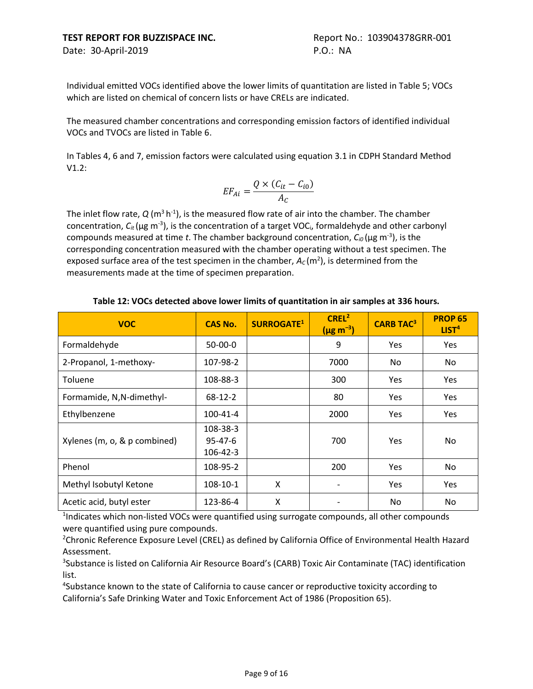Individual emitted VOCs identified above the lower limits of quantitation are listed in Table 5; VOCs which are listed on chemical of concern lists or have CRELs are indicated.

The measured chamber concentrations and corresponding emission factors of identified individual VOCs and TVOCs are listed in Table 6.

In Tables 4, 6 and 7, emission factors were calculated using equation 3.1 in CDPH Standard Method V1.2:

$$
EF_{Ai} = \frac{Q \times (C_{it} - C_{i0})}{A_C}
$$

The inlet flow rate,  $Q(m^3h^1)$ , is the measured flow rate of air into the chamber. The chamber concentration, *Cit* (μg m-3 ), is the concentration of a target VOCi, formaldehyde and other carbonyl compounds measured at time *t*. The chamber background concentration, *Ci0* (μg m-3 ), is the corresponding concentration measured with the chamber operating without a test specimen. The exposed surface area of the test specimen in the chamber,  $A_C(m^2)$ , is determined from the measurements made at the time of specimen preparation.

| <b>VOC</b>                         | <b>CAS No.</b>                        | <b>SURROGATE1</b> | CREL <sup>2</sup><br>$(\mu g \, m^{-3})$ | <b>CARB TAC3</b> | <b>PROP 65</b><br>LIST <sup>4</sup> |
|------------------------------------|---------------------------------------|-------------------|------------------------------------------|------------------|-------------------------------------|
| Formaldehyde                       | $50-00-0$                             |                   | 9                                        | Yes              | Yes                                 |
| 2-Propanol, 1-methoxy-             | 107-98-2                              |                   | 7000                                     | No.              | No                                  |
| Toluene                            | 108-88-3                              |                   | 300                                      | Yes              | Yes                                 |
| Formamide, N, N-dimethyl-          | $68-12-2$                             |                   | 80                                       | Yes              | Yes                                 |
| Ethylbenzene                       | 100-41-4                              |                   | 2000                                     | Yes              | Yes                                 |
| Xylenes (m, o, & p combined)       | 108-38-3<br>$95 - 47 - 6$<br>106-42-3 |                   | 700                                      | Yes              | No.                                 |
| Phenol                             | 108-95-2                              |                   | 200                                      | <b>Yes</b>       | No                                  |
| Methyl Isobutyl Ketone             | 108-10-1                              | X                 |                                          | Yes              | <b>Yes</b>                          |
| Acetic acid, butyl ester<br>$\sim$ | 123-86-4                              | X                 |                                          | No               | No                                  |

#### **Table 12: VOCs detected above lower limits of quantitation in air samples at 336 hours.**

<sup>1</sup>Indicates which non-listed VOCs were quantified using surrogate compounds, all other compounds were quantified using pure compounds.

<sup>2</sup>Chronic Reference Exposure Level (CREL) as defined by California Office of Environmental Health Hazard Assessment.

<sup>3</sup>Substance is listed on California Air Resource Board's (CARB) Toxic Air Contaminate (TAC) identification list.

4 Substance known to the state of California to cause cancer or reproductive toxicity according to California's Safe Drinking Water and Toxic Enforcement Act of 1986 (Proposition 65).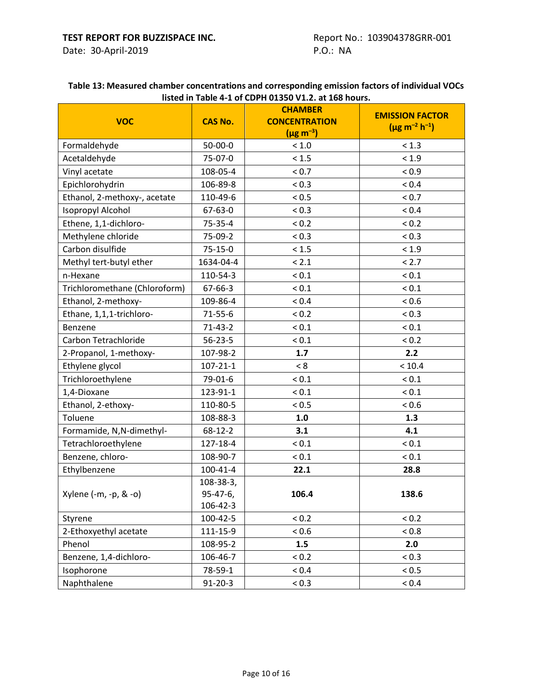#### **Table 13: Measured chamber concentrations and corresponding emission factors of individual VOCs listed in Table 4-1 of CDPH 01350 V1.2. at 168 hours.**

| <b>VOC</b>                    | <b>CAS No.</b> | <b>CHAMBER</b><br><b>CONCENTRATION</b><br>$(\mu g \, m^{-3})$ | <b>EMISSION FACTOR</b><br>$(\mu g m^{-2} h^{-1})$ |
|-------------------------------|----------------|---------------------------------------------------------------|---------------------------------------------------|
| Formaldehyde                  | 50-00-0        | < 1.0                                                         | < 1.3                                             |
| Acetaldehyde                  | 75-07-0        | < 1.5                                                         | < 1.9                                             |
| Vinyl acetate                 | 108-05-4       | < 0.7                                                         | ${}_{0.9}$                                        |
| Epichlorohydrin               | 106-89-8       | < 0.3                                                         | < 0.4                                             |
| Ethanol, 2-methoxy-, acetate  | 110-49-6       | < 0.5                                                         | ${}_{0.7}$                                        |
| Isopropyl Alcohol             | 67-63-0        | < 0.3                                                         | < 0.4                                             |
| Ethene, 1,1-dichloro-         | 75-35-4        | < 0.2                                                         | < 0.2                                             |
| Methylene chloride            | 75-09-2        | < 0.3                                                         | ${}_{< 0.3}$                                      |
| Carbon disulfide              | $75 - 15 - 0$  | < 1.5                                                         | < 1.9                                             |
| Methyl tert-butyl ether       | 1634-04-4      | < 2.1                                                         | < 2.7                                             |
| n-Hexane                      | 110-54-3       | ${}_{0.1}$                                                    | ${}_{0.1}$                                        |
| Trichloromethane (Chloroform) | 67-66-3        | ${}_{0.1}$                                                    | ${}_{0.1}$                                        |
| Ethanol, 2-methoxy-           | 109-86-4       | ${}_{0.4}$                                                    | ${}_{0.6}$                                        |
| Ethane, 1,1,1-trichloro-      | $71 - 55 - 6$  | < 0.2                                                         | < 0.3                                             |
| Benzene                       | $71 - 43 - 2$  | ${}_{0.1}$                                                    | ${}_{0.1}$                                        |
| Carbon Tetrachloride          | $56 - 23 - 5$  | ${}_{0.1}$                                                    | ${}_{0.2}$                                        |
| 2-Propanol, 1-methoxy-        | 107-98-2       | 1.7                                                           | 2.2                                               |
| Ethylene glycol               | $107 - 21 - 1$ | < 8                                                           | < 10.4                                            |
| Trichloroethylene             | 79-01-6        | ${}_{0.1}$                                                    | ${}_{0.1}$                                        |
| 1,4-Dioxane                   | 123-91-1       | ${}_{0.1}$                                                    | ${}_{0.1}$                                        |
| Ethanol, 2-ethoxy-            | 110-80-5       | < 0.5                                                         | < 0.6                                             |
| Toluene                       | 108-88-3       | 1.0                                                           | 1.3                                               |
| Formamide, N,N-dimethyl-      | 68-12-2        | 3.1                                                           | 4.1                                               |
| Tetrachloroethylene           | 127-18-4       | ${}_{0.1}$                                                    | ${}_{0.1}$                                        |
| Benzene, chloro-              | 108-90-7       | ${}_{0.1}$                                                    | ${}_{0.1}$                                        |
| Ethylbenzene                  | $100 - 41 - 4$ | 22.1                                                          | 28.8                                              |
|                               | 108-38-3,      |                                                               |                                                   |
| Xylene (-m, -p, & -o)         | 95-47-6,       | 106.4                                                         | 138.6                                             |
|                               | 106-42-3       |                                                               |                                                   |
| Styrene                       | 100-42-5       | < 0.2                                                         | < 0.2                                             |
| 2-Ethoxyethyl acetate         | 111-15-9       | < 0.6                                                         | ${}_{0.8}$                                        |
| Phenol                        | 108-95-2       | 1.5                                                           | 2.0                                               |
| Benzene, 1,4-dichloro-        | 106-46-7       | < 0.2                                                         | < 0.3                                             |
| Isophorone                    | 78-59-1        | < 0.4                                                         | ${}_{0.5}$                                        |
| Naphthalene                   | $91 - 20 - 3$  | < 0.3                                                         | ${}_{0.4}$                                        |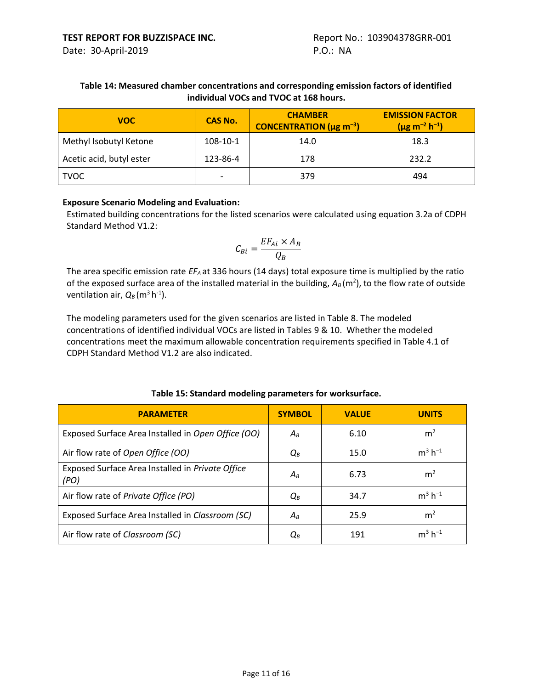#### **Table 14: Measured chamber concentrations and corresponding emission factors of identified individual VOCs and TVOC at 168 hours.**

| <b>VOC</b>               | <b>CAS No.</b>           | <b>CHAMBER</b><br><b>CONCENTRATION</b> ( $\mu$ g m <sup>-3</sup> ) | <b>EMISSION FACTOR</b><br>$(\mu g m^{-2} h^{-1})$ |
|--------------------------|--------------------------|--------------------------------------------------------------------|---------------------------------------------------|
| Methyl Isobutyl Ketone   | 108-10-1                 | 14.0                                                               | 18.3                                              |
| Acetic acid, butyl ester | 123-86-4                 | 178                                                                | 232.2                                             |
| <b>TVOC</b>              | $\overline{\phantom{0}}$ | 379                                                                | 494                                               |

#### **Exposure Scenario Modeling and Evaluation:**

Estimated building concentrations for the listed scenarios were calculated using equation 3.2a of CDPH Standard Method V1.2:

$$
C_{Bi} = \frac{EF_{Ai} \times A_B}{Q_B}
$$

The area specific emission rate *EFA* at 336 hours (14 days) total exposure time is multiplied by the ratio of the exposed surface area of the installed material in the building,  $A_B(m^2)$ , to the flow rate of outside ventilation air,  $Q_B$  (m<sup>3</sup> h<sup>-1</sup>).

The modeling parameters used for the given scenarios are listed in Table 8. The modeled concentrations of identified individual VOCs are listed in Tables 9 & 10. Whether the modeled concentrations meet the maximum allowable concentration requirements specified in Table 4.1 of CDPH Standard Method V1.2 are also indicated.

| <b>PARAMETER</b>                                         | <b>SYMBOL</b> | <b>VALUE</b> | <b>UNITS</b>   |
|----------------------------------------------------------|---------------|--------------|----------------|
| Exposed Surface Area Installed in Open Office (OO)       | $A_R$         | 6.10         | m <sup>2</sup> |
| Air flow rate of Open Office (OO)                        | $Q_B$         | 15.0         | $m^3 h^{-1}$   |
| Exposed Surface Area Installed in Private Office<br>(PO) | $A_B$         | 6.73         | m <sup>2</sup> |
| Air flow rate of Private Office (PO)                     | $Q_B$         | 34.7         | $m^3 h^{-1}$   |
| Exposed Surface Area Installed in Classroom (SC)         | $A_B$         | 25.9         | m <sup>2</sup> |
| Air flow rate of Classroom (SC)                          | $Q_B$         | 191          | $m^3 h^{-1}$   |

#### **Table 15: Standard modeling parameters for worksurface.**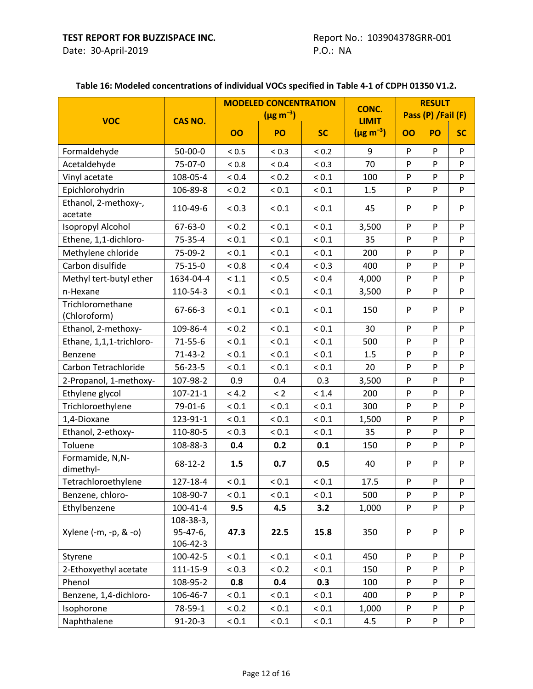#### **VOC CAS NO. MODELED CONCENTRATION (µg m–<sup>3</sup> ) CONC. LIMIT (µg m–<sup>3</sup> ) OO PO SC OO PO SC RESULT Pass (P) /Fail (F)** Formaldehyde | 50-00-0 | < 0.5 | < 0.3 | < 0.2 | 9 | P | P | P Acetaldehyde 75-07-0 < 0.8 < 0.4 < 0.3 70 P P P Vinyl acetate 108-05-4  $\vert$  < 0.4  $\vert$  < 0.2  $\vert$  < 0.1  $\vert$  100 P P P Epichlorohydrin 106-89-8 < 0.2 \ < 0.1 \ < 0.1 \ 1.5 \ P \ P \ P Ethanol, 2-methoxy-, acetate 110-49-6 | <0.3 | <0.1 | <0.1 | 45 | P | P | P Isopropyl Alcohol 67-63-0  $|$  < 0.2  $|$  < 0.1  $|$  < 0.1  $|$  3,500 P P P P Ethene, 1,1-dichloro- | 75-35-4 | < 0.1 | < 0.1 | < 0.1 | 35 | P | P | P Methylene chloride 75-09-2 < 0.1 < 0.1 < 0.1 200 P P P Carbon disulfide 75-15-0 < 0.8 < 0.4 < 0.3 400 P P P Methyl tert-butyl ether | 1634-04-4 | <1.1 | <0.5 | <0.4 | 4,000 | P | P | P n-Hexane | 110-54-3 | < 0.1 | < 0.1 | 3,500 | P | P | P **Trichloromethane** (Chloroform) 67-66-3 < 0.1 < 0.1 < 0.1 150 P P P Ethanol, 2-methoxy- 109-86-4 < 0.2 < 0.1 < 0.1 30 P P P Ethane, 1,1,1-trichloro- 71-55-6 < 0.1 < 0.1 < 0.1 |  $\leq$  500 | P | P | P Benzene 71-43-2 | < 0.1 | < 0.1 | 1.5 P | P P Carbon Tetrachloride | 56-23-5 | < 0.1 | < 0.1 | < 0.1 | 20 | P | P | P 2-Propanol, 1-methoxy- | 107-98-2 | 0.9 | 0.4 | 0.3 | 3,500 | P | P | P Ethylene glycol  $107-21-1 < 4.2$   $< 2$   $< 1.4$  200 P P P Trichloroethylene 79-01-6 < 0.1 \ < 0.1 \ < 0.1 \ \ 300 \ \ P \ \ P \ \ P 1,4-Dioxane | 123-91-1 | < 0.1 | < 0.1 | < 0.1 | 1,500 | P | P | P Ethanol, 2-ethoxy-  $\vert$  110-80-5  $\vert$  < 0.3  $\vert$  < 0.1  $\vert$  < 0.1  $\vert$  35  $\vert$  P  $\vert$  P  $\vert$  P Toluene 108-88-3 **0.4 0.2 0.1** 150 P P P Formamide, N,Ndimethyl-68-12-2 **1.5 0.7 0.5** 40 P P P Tetrachloroethylene 127-18-4 < 0.1 < 0.1 < 0.1 17.5 P P P Benzene, chloro- | 108-90-7 | < 0.1 | < 0.1 | < 0.1 | 500 | P | P | P Ethylbenzene 100-41-4 **9.5 4.5 3.2** 1,000 P P P Xylene (-m, -p, & -o) 108-38-3, 95-47-6, 106-42-3 **47.3 22.5 15.8** 350 P P P Styrene | 100-42-5 | < 0.1 | < 0.1 | < 0.1 | 450 | P | P | P 2-Ethoxyethyl acetate | 111-15-9 | < 0.3 | < 0.2 | < 0.1 | 150 | P | P | P Phenol 108-95-2 **0.8 0.4 0.3** 100 P P P Benzene, 1,4-dichloro- | 106-46-7 | < 0.1 | < 0.1 | < 0.1 | 400 | P | P | P Isophorone | 78-59-1 | < 0.2 | < 0.1 | 1,000 | P | P | P Naphthalene | 91-20-3 | < 0.1 | < 0.1 | 4.5 | P | P | P

#### **Table 16: Modeled concentrations of individual VOCs specified in Table 4-1 of CDPH 01350 V1.2.**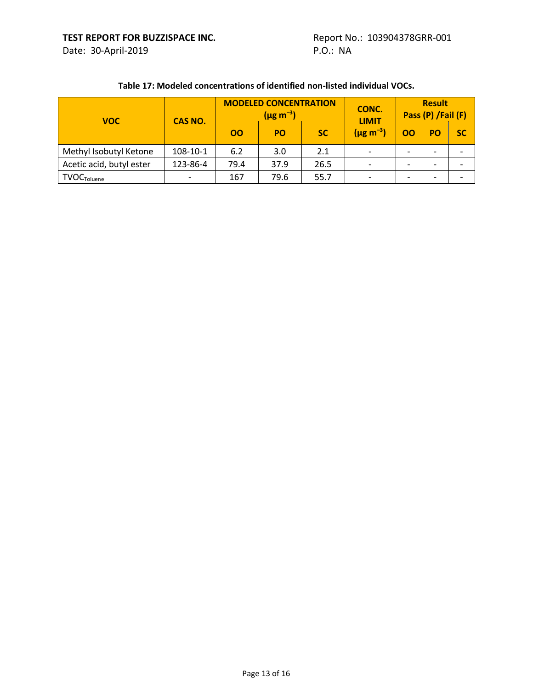| <b>VOC</b>               | <b>CAS NO.</b> | <b>OO</b> | <b>MODELED CONCENTRATION</b><br>$(\mu g \, m^{-3})$<br><b>PO</b> | <b>SC</b> | CONC.<br><b>LIMIT</b><br>$(\mu g \, m^{-3})$ | OO                       | <b>Result</b><br>Pass (P) /Fail (F)<br>PO | <b>SC</b> |
|--------------------------|----------------|-----------|------------------------------------------------------------------|-----------|----------------------------------------------|--------------------------|-------------------------------------------|-----------|
| Methyl Isobutyl Ketone   | 108-10-1       | 6.2       | 3.0                                                              | 2.1       |                                              |                          | $\overline{\phantom{0}}$                  |           |
| Acetic acid, butyl ester | 123-86-4       | 79.4      | 37.9                                                             | 26.5      |                                              |                          |                                           |           |
| <b>TVOC</b> Toluene      |                | 167       | 79.6                                                             | 55.7      |                                              | $\overline{\phantom{0}}$ | $\overline{\phantom{0}}$                  |           |

#### **Table 17: Modeled concentrations of identified non-listed individual VOCs.**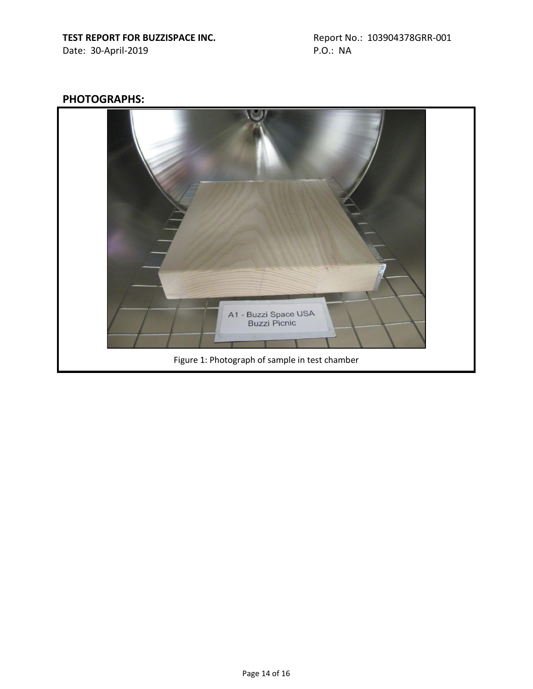# **PHOTOGRAPHS:**

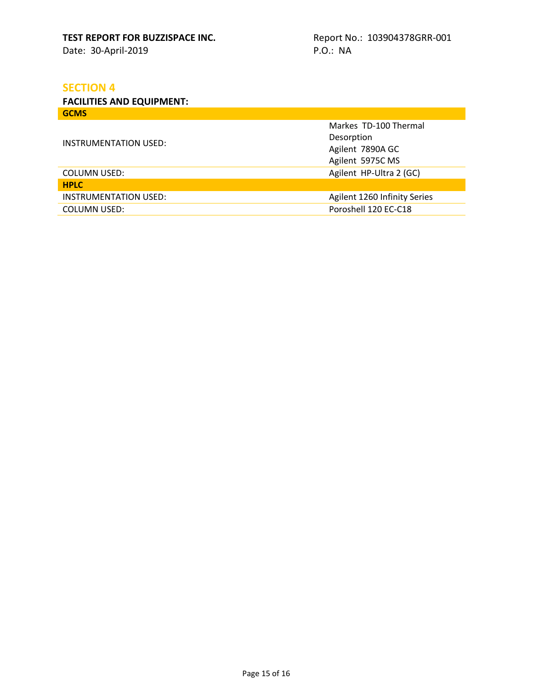# **SECTION 4**

**FACILITIES AND EQUIPMENT: GCMS**

|                       | Markes TD-100 Thermal          |  |  |
|-----------------------|--------------------------------|--|--|
| INSTRUMENTATION USED: | Desorption<br>Agilent 7890A GC |  |  |
|                       |                                |  |  |
|                       | Agilent 5975C MS               |  |  |
| <b>COLUMN USED:</b>   | Agilent HP-Ultra 2 (GC)        |  |  |
| <b>HPLC</b>           |                                |  |  |
| INSTRUMENTATION USED: | Agilent 1260 Infinity Series   |  |  |
| <b>COLUMN USED:</b>   | Poroshell 120 EC-C18           |  |  |